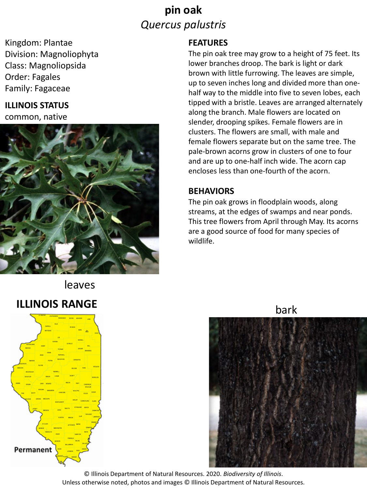### **pin oak** *Quercus palustris*

Kingdom: Plantae Division: Magnoliophyta Class: Magnoliopsida Order: Fagales Family: Fagaceae

#### **ILLINOIS STATUS**

common, native



# leaves bark **ILLINOIS RANGE**



#### **FEATURES**

The pin oak tree may grow to a height of 75 feet. Its lower branches droop. The bark is light or dark brown with little furrowing. The leaves are simple, up to seven inches long and divided more than onehalf way to the middle into five to seven lobes, each tipped with a bristle. Leaves are arranged alternately along the branch. Male flowers are located on slender, drooping spikes. Female flowers are in clusters. The flowers are small, with male and female flowers separate but on the same tree. The pale-brown acorns grow in clusters of one to four and are up to one-half inch wide. The acorn cap encloses less than one-fourth of the acorn.

#### **BEHAVIORS**

The pin oak grows in floodplain woods, along streams, at the edges of swamps and near ponds. This tree flowers from April through May. Its acorns are a good source of food for many species of wildlife.



© Illinois Department of Natural Resources. 2020. *Biodiversity of Illinois*. Unless otherwise noted, photos and images © Illinois Department of Natural Resources.